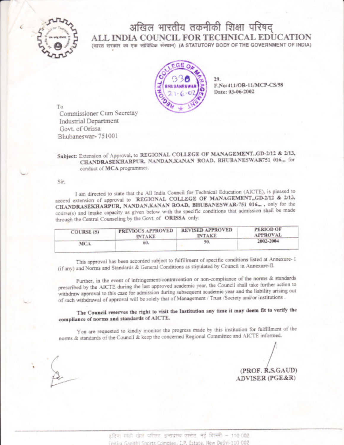

# अखिल भारतीय तकनीकी शिक्षा परिषद् ALL INDIA COUNCIL FOR TECHNICAL EDUCATION (भारत सरकार का एक सांविधिक संस्थान) (A STATUTORY BODY OF THE GOVERNMENT OF INDIA)



29. F.No:411/OR-11/MCP-CS/98 Date: 03-06-2002

Τo Commissioner Cum Secretay Industrial Department Govt. of Orissa Bhubaneswar-751001

## Subject: Extension of Approval, to REGIONAL COLLEGE OF MANAGEMENT, GD-2/12 & 2/13, CHANDRASEKHARPUR, NANDAN, KANAN ROAD, BHUBANESWAR751 016,,, for conduct of MCA programmes.

Sir.

I am directed to state that the All India Council for Technical Education (AICTE), is pleased to accord extension of approval to REGIONAL COLLEGE OF MANAGEMENT, GD-2/12 & 2/13, CHANDRASEKHARPUR, NANDAN, KANAN ROAD, BHUBANESWAR-751 016,,, only for the course(s) and intake capacity as given below with the specific conditions that admission shall be made through the Central Counseling by the Govt. of ORISSA only:

| COURSE (S) | PREVIOUS APPROVED | <b>REVISED APPROVED</b> | <b>PERIOD OF</b> |
|------------|-------------------|-------------------------|------------------|
|            | <b>INTAKE</b>     | <b>INTAKE</b>           | <b>APPROVAL</b>  |
| MCA        | 60.               | 90.                     | 2002-2004        |

This approval has been accorded subject to fulfillment of specific conditions listed at Annexure- I (if any) and Norms and Standards & General Conditions as stipulated by Council in Annexure-II.

Further, in the event of infringement/contravention or non-compliance of the norms & standards prescribed by the AICTE during the last approved academic year, the Council shall take further action to withdraw approval to this case for admission during subsequent academic year and the liability arising out of such withdrawal of approval will be solely that of Management / Trust /Society and/or institutions .

The Council reserves the right to visit the Institution any time it may deem fit to verify the compliance of norms and standards of AICTE.

You are requested to kindly monitor the progress made by this institution for fulfillment of the norms & standards of the Council & keep the concerned Regional Committee and AICTE informed.

(PROF. R.S.GAUD) ADVISER (PGE&R)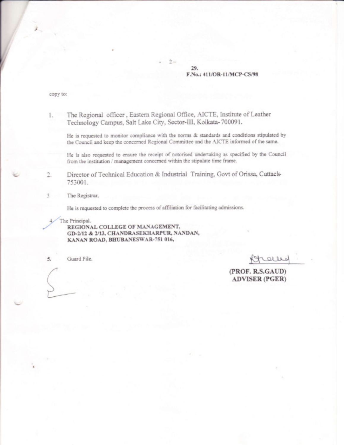### 29. F.No.: 411/OR-11/MCP-CS/98

copy to:

#### The Regional officer, Eastern Regional Office, AICTE, Institute of Leather  $1.$ Technology Campus, Salt Lake City, Sector-III, Kolkata-700091.

He is requested to monitor compliance with the norms & standards and conditions stipulated by the Council and keep the concerned Regional Committee and the AICTE informed of the same.

He is also requested to ensure the receipt of notorised undertaking as specified by the Council from the institution / management concerned within the stipulate time frame.

Director of Technical Education & Industrial Training, Govt of Orissa, Cuttack-2. 753001.

The Registrar.

3

He is requested to complete the process of affiliation for facilitating admissions.

The Principal.

REGIONAL COLLEGE OF MANAGEMENT, GD-2/12 & 2/13, CHANDRASEKHARPUR, NANDAN, KANAN ROAD, BHUBANESWAR-751 016,

Guard File. 5.

Rtalled

(PROF. R.S.GAUD) **ADVISER (PGER)** 

 $2 -$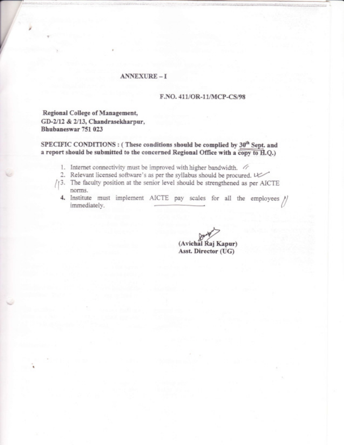### ANNEXURE-I

### F.NO. 411/OR-11/MCP-CS/98

Regional College of Management, GD-2/12 & 2/13, Chandrasekharpur, Bhubaneswar 75t 023

v

SPECIFIC CONDITIONS : (These conditions should be complied by  $30<sup>th</sup>$  Sept. and a report should be submitted to the concerned Regional Office with a copy to  $H.Q.$ )

- 1. Internet connectivity must be improved with higher bandwidth.  $\sqrt{ }$
- 2. Relevant licensed software's as per the syllabus should be procured. U
- 43. The faculty position at the senior level should be strengthened as per AICTE ' norms.
	- 4. Institute must implement AICTE pay scales for all the employees  $\bigg/\bigg/$ immediately.

(Avichal Raj Kapur) Asst. Director (UG)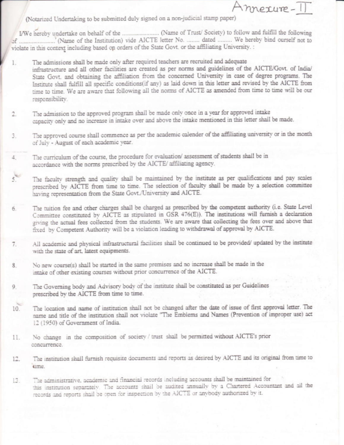(Notarized Undertaking to be submitted duly signed on a non-judicial stamp paper)

violate in this context including based on orders of the State Govt. or the affiliating University. :

mexure-

- The admissions shall be made only after required teachers are recruited and adequate  $\Gamma$ infrastructure and all other facilities are created as per norms and guidelines of the AICTE/Govt. of India/ State Govt. and obtaining the affiliation from the concerned University in case of degree programs. The Institute shall fulfill all specific conditions(if any) as laid down in this letter and revised by the AICTE from time to time. We are aware that following all the norms of AICTE as amended from time to time will be our responsibility.
- The admission to the approved program shall be made only once in a year for approved intake 2. capacity only and no increase in intake over and above the intake mentioned in this letter shall be made.
- The approved course shall commence as per the academic calender of the affiliating university or in the month 3. of July - August of each academic year.
- The curriculum of the course, the procedure for evaluation/assessment of students shall be in 4. accordance with the norms prescribed by the AICTE/ affiliating agency.
- $5<sup>1</sup>$ The faculty strength and quality shall be maintained by the institute as per qualifications and pay scales prescribed by AICTE from time to time. The selection of faculty shall be made by a selection committee having representation from the State Govt./University and AICTE.
- The tuition fee and other charges shall be charged as prescribed by the competent authority (i.e. State Level 6. Committee constituted by AICTE as stipulated in GSR 476(E)). The institutions will furnish a declaration giving the actual fees collected from the students. We are aware that collecting the fees over and above that fixed by Competent Authority will be a violation leading to withdrawal of approval by AICTE.
- All academic and physical infrastructural facilities shall be continued to be provided/ updated by the institute 7. with the state of art, latest equipments.
- No new course(s) shall be started in the same premises and no increase shall be made in the 8. intake of other existing courses without prior concurrence of the AICTE.
- The Governing body and Advisory body of the institute shall be constituted as per Guidelines 9. prescribed by the AICTE from time to time.
- The location and name of institution shall not be changed after the date of issue of first approval letter. The  $10.$ name and title of the institution shall not violate "The Emblems and Names (Prevention of improper use) act 12 (1950) of Government of India.
- No change in the composition of society / trust shall be permitted without AICTE's prior 11. concurrence.
- The institution shall furnish requisite documents and reports as desired by AICTE and its original from time to 12. sime.
- The administrative, academic and financial records including accounts shall be maintained for 13. this institution separately. The accounts shall be audited annually by a Chartered Accountant and all the records and reports shall be open for inspection by the AICTE or anybody authorized by it.